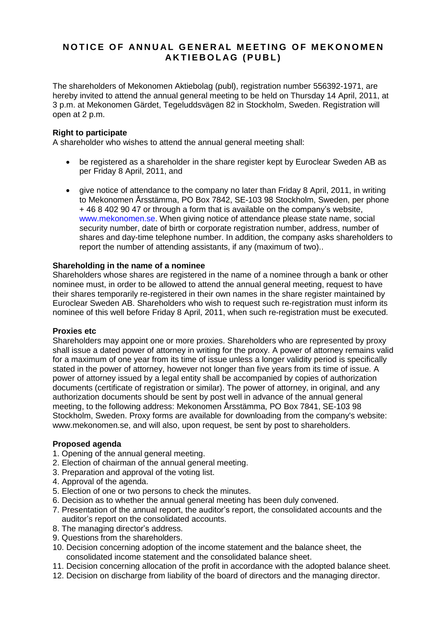# **NOTICE OF ANNUAL GENERAL MEETING OF MEKONOMEN A K T I E B O L AG ( P U B L )**

The shareholders of Mekonomen Aktiebolag (publ), registration number 556392-1971, are hereby invited to attend the annual general meeting to be held on Thursday 14 April, 2011, at 3 p.m. at Mekonomen Gärdet, Tegeluddsvägen 82 in Stockholm, Sweden. Registration will open at 2 p.m.

## **Right to participate**

A shareholder who wishes to attend the annual general meeting shall:

- be registered as a shareholder in the share register kept by Euroclear Sweden AB as per Friday 8 April, 2011, and
- give notice of attendance to the company no later than Friday 8 April, 2011, in writing to Mekonomen Årsstämma, PO Box 7842, SE-103 98 Stockholm, Sweden, per phone + 46 8 402 90 47 or through a form that is available on the company's website, [www.mekonomen.se.](http://www.mekonomen.se/) When giving notice of attendance please state name, social security number, date of birth or corporate registration number, address, number of shares and day-time telephone number. In addition, the company asks shareholders to report the number of attending assistants, if any (maximum of two)..

## **Shareholding in the name of a nominee**

Shareholders whose shares are registered in the name of a nominee through a bank or other nominee must, in order to be allowed to attend the annual general meeting, request to have their shares temporarily re-registered in their own names in the share register maintained by Euroclear Sweden AB. Shareholders who wish to request such re-registration must inform its nominee of this well before Friday 8 April, 2011, when such re-registration must be executed.

#### **Proxies etc**

Shareholders may appoint one or more proxies. Shareholders who are represented by proxy shall issue a dated power of attorney in writing for the proxy. A power of attorney remains valid for a maximum of one year from its time of issue unless a longer validity period is specifically stated in the power of attorney, however not longer than five years from its time of issue. A power of attorney issued by a legal entity shall be accompanied by copies of authorization documents (certificate of registration or similar). The power of attorney, in original, and any authorization documents should be sent by post well in advance of the annual general meeting, to the following address: Mekonomen Årsstämma, PO Box 7841, SE-103 98 Stockholm, Sweden. Proxy forms are available for downloading from the company's website: www.mekonomen.se, and will also, upon request, be sent by post to shareholders.

#### **Proposed agenda**

- 1. Opening of the annual general meeting.
- 2. Election of chairman of the annual general meeting.
- 3. Preparation and approval of the voting list.
- 4. Approval of the agenda.
- 5. Election of one or two persons to check the minutes.
- 6. Decision as to whether the annual general meeting has been duly convened.
- 7. Presentation of the annual report, the auditor's report, the consolidated accounts and the auditor's report on the consolidated accounts.
- 8. The managing director's address.
- 9. Questions from the shareholders.
- 10. Decision concerning adoption of the income statement and the balance sheet, the consolidated income statement and the consolidated balance sheet.
- 11. Decision concerning allocation of the profit in accordance with the adopted balance sheet.
- 12. Decision on discharge from liability of the board of directors and the managing director.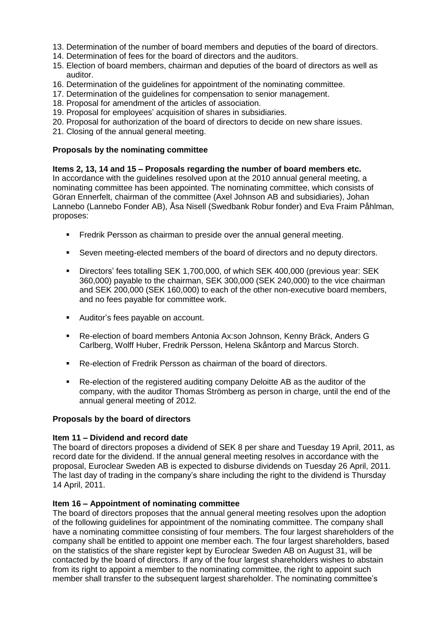- 13. Determination of the number of board members and deputies of the board of directors.
- 14. Determination of fees for the board of directors and the auditors.
- 15. Election of board members, chairman and deputies of the board of directors as well as auditor.
- 16. Determination of the guidelines for appointment of the nominating committee.
- 17. Determination of the guidelines for compensation to senior management.
- 18. Proposal for amendment of the articles of association.
- 19. Proposal for employees' acquisition of shares in subsidiaries.
- 20. Proposal for authorization of the board of directors to decide on new share issues.
- 21. Closing of the annual general meeting.

## **Proposals by the nominating committee**

**Items 2, 13, 14 and 15 – Proposals regarding the number of board members etc.** In accordance with the guidelines resolved upon at the 2010 annual general meeting, a nominating committee has been appointed. The nominating committee, which consists of Göran Ennerfelt, chairman of the committee (Axel Johnson AB and subsidiaries), Johan Lannebo (Lannebo Fonder AB), Åsa Nisell (Swedbank Robur fonder) and Eva Fraim Påhlman, proposes:

- **Findrik Persson as chairman to preside over the annual general meeting.**
- Seven meeting-elected members of the board of directors and no deputy directors.
- Directors' fees totalling SEK 1,700,000, of which SEK 400,000 (previous year: SEK 360,000) payable to the chairman, SEK 300,000 (SEK 240,000) to the vice chairman and SEK 200,000 (SEK 160,000) to each of the other non-executive board members, and no fees payable for committee work.
- Auditor's fees payable on account.
- Re-election of board members Antonia Ax:son Johnson, Kenny Bräck, Anders G Carlberg, Wolff Huber, Fredrik Persson, Helena Skåntorp and Marcus Storch.
- Re-election of Fredrik Persson as chairman of the board of directors.
- Re-election of the registered auditing company Deloitte AB as the auditor of the company, with the auditor Thomas Strömberg as person in charge, until the end of the annual general meeting of 2012.

#### **Proposals by the board of directors**

#### **Item 11 – Dividend and record date**

The board of directors proposes a dividend of SEK 8 per share and Tuesday 19 April, 2011, as record date for the dividend. If the annual general meeting resolves in accordance with the proposal, Euroclear Sweden AB is expected to disburse dividends on Tuesday 26 April, 2011. The last day of trading in the company's share including the right to the dividend is Thursday 14 April, 2011.

#### **Item 16 – Appointment of nominating committee**

The board of directors proposes that the annual general meeting resolves upon the adoption of the following guidelines for appointment of the nominating committee. The company shall have a nominating committee consisting of four members. The four largest shareholders of the company shall be entitled to appoint one member each. The four largest shareholders, based on the statistics of the share register kept by Euroclear Sweden AB on August 31, will be contacted by the board of directors. If any of the four largest shareholders wishes to abstain from its right to appoint a member to the nominating committee, the right to appoint such member shall transfer to the subsequent largest shareholder. The nominating committee's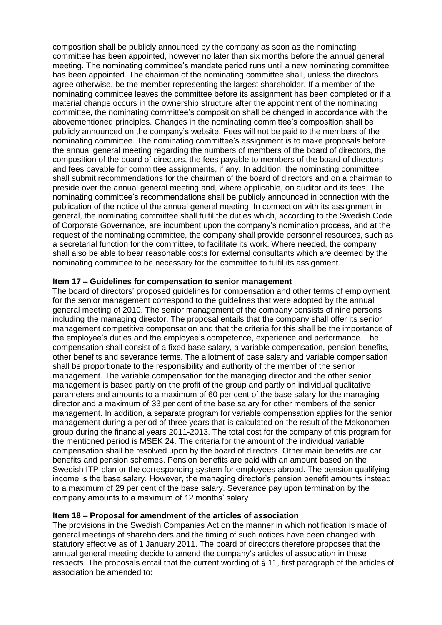composition shall be publicly announced by the company as soon as the nominating committee has been appointed, however no later than six months before the annual general meeting. The nominating committee's mandate period runs until a new nominating committee has been appointed. The chairman of the nominating committee shall, unless the directors agree otherwise, be the member representing the largest shareholder. If a member of the nominating committee leaves the committee before its assignment has been completed or if a material change occurs in the ownership structure after the appointment of the nominating committee, the nominating committee's composition shall be changed in accordance with the abovementioned principles. Changes in the nominating committee's composition shall be publicly announced on the company's website. Fees will not be paid to the members of the nominating committee. The nominating committee's assignment is to make proposals before the annual general meeting regarding the numbers of members of the board of directors, the composition of the board of directors, the fees payable to members of the board of directors and fees payable for committee assignments, if any. In addition, the nominating committee shall submit recommendations for the chairman of the board of directors and on a chairman to preside over the annual general meeting and, where applicable, on auditor and its fees. The nominating committee's recommendations shall be publicly announced in connection with the publication of the notice of the annual general meeting. In connection with its assignment in general, the nominating committee shall fulfil the duties which, according to the Swedish Code of Corporate Governance, are incumbent upon the company's nomination process, and at the request of the nominating committee, the company shall provide personnel resources, such as a secretarial function for the committee, to facilitate its work. Where needed, the company shall also be able to bear reasonable costs for external consultants which are deemed by the nominating committee to be necessary for the committee to fulfil its assignment.

## **Item 17 – Guidelines for compensation to senior management**

The board of directors' proposed guidelines for compensation and other terms of employment for the senior management correspond to the guidelines that were adopted by the annual general meeting of 2010. The senior management of the company consists of nine persons including the managing director. The proposal entails that the company shall offer its senior management competitive compensation and that the criteria for this shall be the importance of the employee's duties and the employee's competence, experience and performance. The compensation shall consist of a fixed base salary, a variable compensation, pension benefits, other benefits and severance terms. The allotment of base salary and variable compensation shall be proportionate to the responsibility and authority of the member of the senior management. The variable compensation for the managing director and the other senior management is based partly on the profit of the group and partly on individual qualitative parameters and amounts to a maximum of 60 per cent of the base salary for the managing director and a maximum of 33 per cent of the base salary for other members of the senior management. In addition, a separate program for variable compensation applies for the senior management during a period of three years that is calculated on the result of the Mekonomen group during the financial years 2011-2013. The total cost for the company of this program for the mentioned period is MSEK 24. The criteria for the amount of the individual variable compensation shall be resolved upon by the board of directors. Other main benefits are car benefits and pension schemes. Pension benefits are paid with an amount based on the Swedish ITP-plan or the corresponding system for employees abroad. The pension qualifying income is the base salary. However, the managing director's pension benefit amounts instead to a maximum of 29 per cent of the base salary. Severance pay upon termination by the company amounts to a maximum of 12 months' salary.

# **Item 18 – Proposal for amendment of the articles of association**

The provisions in the Swedish Companies Act on the manner in which notification is made of general meetings of shareholders and the timing of such notices have been changed with statutory effective as of 1 January 2011. The board of directors therefore proposes that the annual general meeting decide to amend the company's articles of association in these respects. The proposals entail that the current wording of § 11, first paragraph of the articles of association be amended to: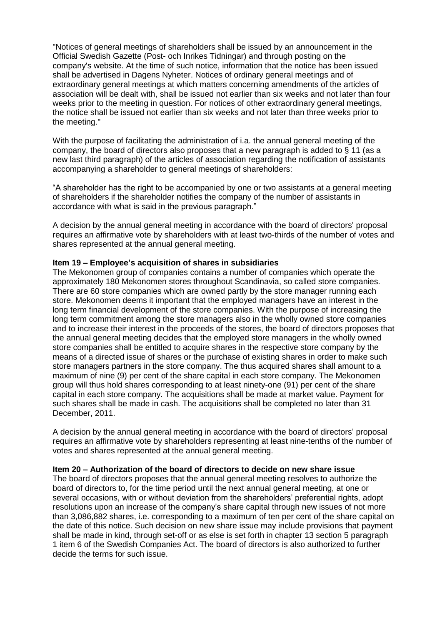"Notices of general meetings of shareholders shall be issued by an announcement in the Official Swedish Gazette (Post- och Inrikes Tidningar) and through posting on the company's website. At the time of such notice, information that the notice has been issued shall be advertised in Dagens Nyheter. Notices of ordinary general meetings and of extraordinary general meetings at which matters concerning amendments of the articles of association will be dealt with, shall be issued not earlier than six weeks and not later than four weeks prior to the meeting in question. For notices of other extraordinary general meetings, the notice shall be issued not earlier than six weeks and not later than three weeks prior to the meeting."

With the purpose of facilitating the administration of i.a. the annual general meeting of the company, the board of directors also proposes that a new paragraph is added to § 11 (as a new last third paragraph) of the articles of association regarding the notification of assistants accompanying a shareholder to general meetings of shareholders:

"A shareholder has the right to be accompanied by one or two assistants at a general meeting of shareholders if the shareholder notifies the company of the number of assistants in accordance with what is said in the previous paragraph."

A decision by the annual general meeting in accordance with the board of directors' proposal requires an affirmative vote by shareholders with at least two-thirds of the number of votes and shares represented at the annual general meeting.

# **Item 19 – Employee's acquisition of shares in subsidiaries**

The Mekonomen group of companies contains a number of companies which operate the approximately 180 Mekonomen stores throughout Scandinavia, so called store companies. There are 60 store companies which are owned partly by the store manager running each store. Mekonomen deems it important that the employed managers have an interest in the long term financial development of the store companies. With the purpose of increasing the long term commitment among the store managers also in the wholly owned store companies and to increase their interest in the proceeds of the stores, the board of directors proposes that the annual general meeting decides that the employed store managers in the wholly owned store companies shall be entitled to acquire shares in the respective store company by the means of a directed issue of shares or the purchase of existing shares in order to make such store managers partners in the store company. The thus acquired shares shall amount to a maximum of nine (9) per cent of the share capital in each store company. The Mekonomen group will thus hold shares corresponding to at least ninety-one (91) per cent of the share capital in each store company. The acquisitions shall be made at market value. Payment for such shares shall be made in cash. The acquisitions shall be completed no later than 31 December, 2011.

A decision by the annual general meeting in accordance with the board of directors' proposal requires an affirmative vote by shareholders representing at least nine-tenths of the number of votes and shares represented at the annual general meeting.

# **Item 20 – Authorization of the board of directors to decide on new share issue**

The board of directors proposes that the annual general meeting resolves to authorize the board of directors to, for the time period until the next annual general meeting, at one or several occasions, with or without deviation from the shareholders' preferential rights, adopt resolutions upon an increase of the company's share capital through new issues of not more than 3,086,882 shares, i.e. corresponding to a maximum of ten per cent of the share capital on the date of this notice. Such decision on new share issue may include provisions that payment shall be made in kind, through set-off or as else is set forth in chapter 13 section 5 paragraph 1 item 6 of the Swedish Companies Act. The board of directors is also authorized to further decide the terms for such issue.